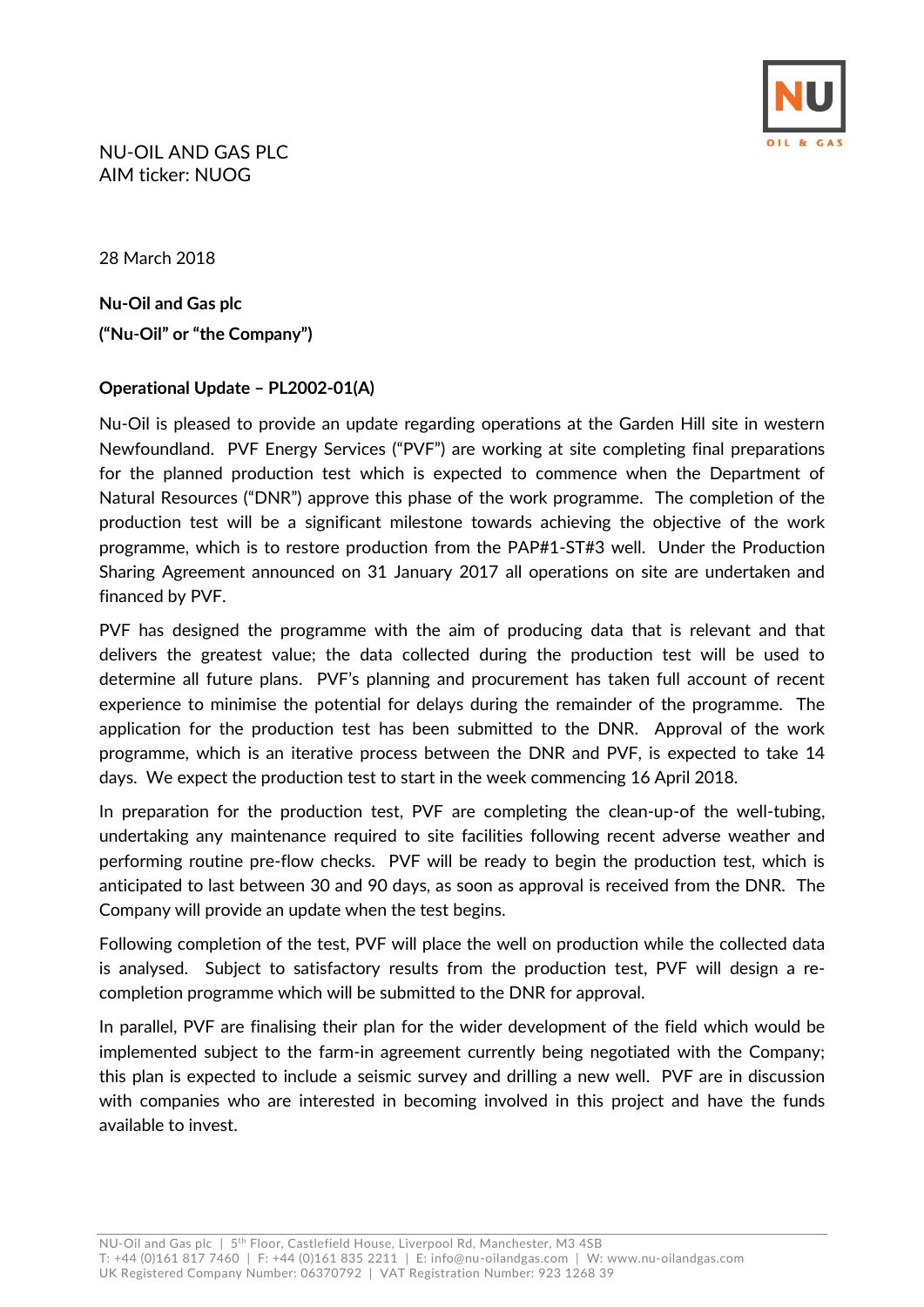

NU-OIL AND GAS PLC AIM ticker: NUOG

28 March 2018

**Nu-Oil and Gas plc ("Nu-Oil" or "the Company")**

## **Operational Update – PL2002-01(A)**

Nu-Oil is pleased to provide an update regarding operations at the Garden Hill site in western Newfoundland. PVF Energy Services ("PVF") are working at site completing final preparations for the planned production test which is expected to commence when the Department of Natural Resources ("DNR") approve this phase of the work programme. The completion of the production test will be a significant milestone towards achieving the objective of the work programme, which is to restore production from the PAP#1-ST#3 well. Under the Production Sharing Agreement announced on 31 January 2017 all operations on site are undertaken and financed by PVF.

PVF has designed the programme with the aim of producing data that is relevant and that delivers the greatest value; the data collected during the production test will be used to determine all future plans. PVF's planning and procurement has taken full account of recent experience to minimise the potential for delays during the remainder of the programme. The application for the production test has been submitted to the DNR. Approval of the work programme, which is an iterative process between the DNR and PVF, is expected to take 14 days. We expect the production test to start in the week commencing 16 April 2018.

In preparation for the production test, PVF are completing the clean-up-of the well-tubing, undertaking any maintenance required to site facilities following recent adverse weather and performing routine pre-flow checks. PVF will be ready to begin the production test, which is anticipated to last between 30 and 90 days, as soon as approval is received from the DNR. The Company will provide an update when the test begins.

Following completion of the test, PVF will place the well on production while the collected data is analysed. Subject to satisfactory results from the production test, PVF will design a recompletion programme which will be submitted to the DNR for approval.

In parallel, PVF are finalising their plan for the wider development of the field which would be implemented subject to the farm-in agreement currently being negotiated with the Company; this plan is expected to include a seismic survey and drilling a new well. PVF are in discussion with companies who are interested in becoming involved in this project and have the funds available to invest.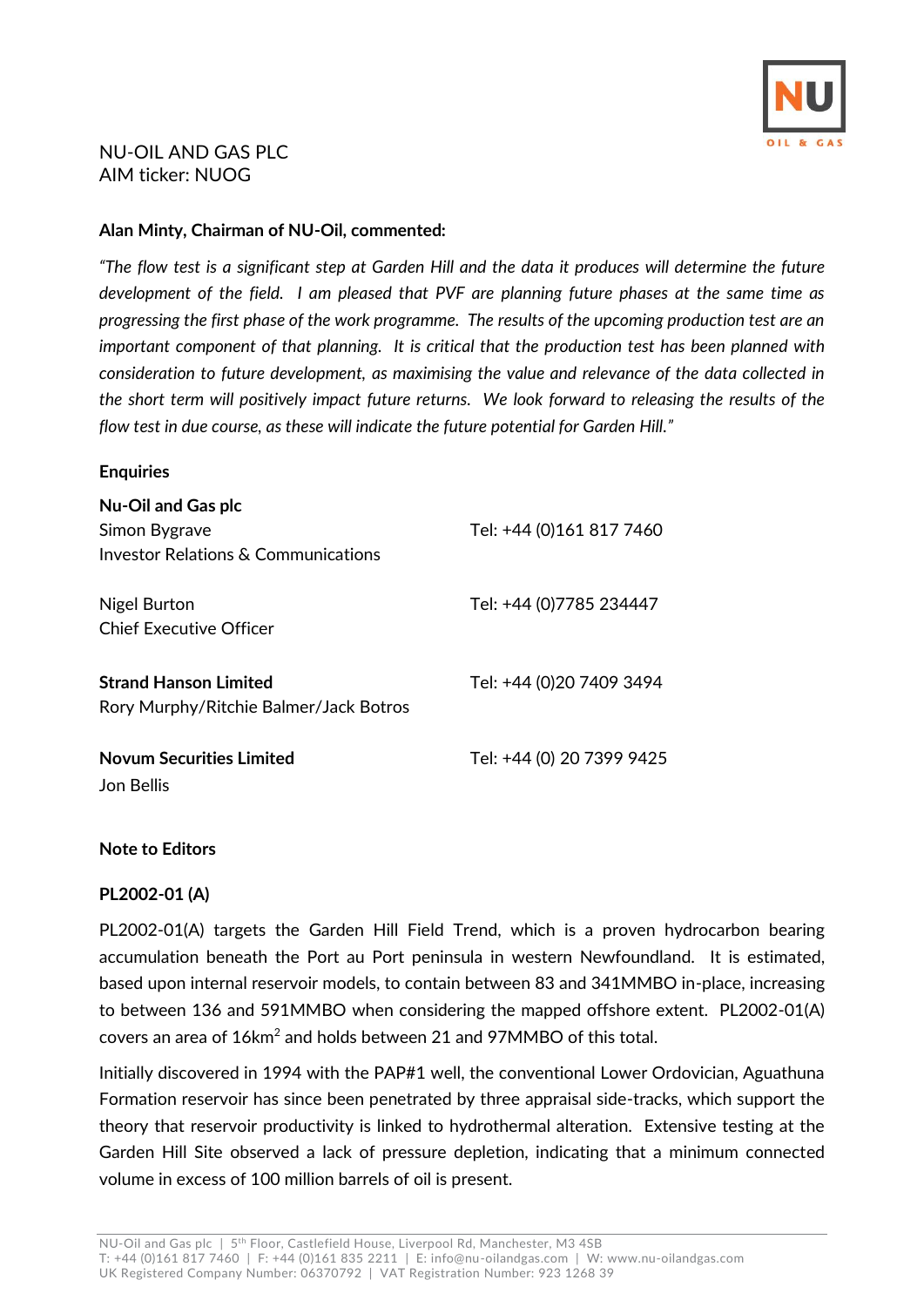

## NU-OIL AND GAS PLC AIM ticker: NUOG

### **Alan Minty, Chairman of NU-Oil, commented:**

*"The flow test is a significant step at Garden Hill and the data it produces will determine the future development of the field. I am pleased that PVF are planning future phases at the same time as progressing the first phase of the work programme. The results of the upcoming production test are an important component of that planning. It is critical that the production test has been planned with consideration to future development, as maximising the value and relevance of the data collected in the short term will positively impact future returns. We look forward to releasing the results of the flow test in due course, as these will indicate the future potential for Garden Hill."*

#### **Enquiries**

| <b>Nu-Oil and Gas plc</b><br>Simon Bygrave<br>Investor Relations & Communications | Tel: +44 (0)161 817 7460  |
|-----------------------------------------------------------------------------------|---------------------------|
| Nigel Burton<br>Chief Executive Officer                                           | Tel: +44 (0)7785 234447   |
| <b>Strand Hanson Limited</b><br>Rory Murphy/Ritchie Balmer/Jack Botros            | Tel: +44 (0)20 7409 3494  |
| <b>Novum Securities Limited</b><br>Jon Bellis                                     | Tel: +44 (0) 20 7399 9425 |

### **Note to Editors**

### **PL2002-01 (A)**

PL2002-01(A) targets the Garden Hill Field Trend, which is a proven hydrocarbon bearing accumulation beneath the Port au Port peninsula in western Newfoundland. It is estimated, based upon internal reservoir models, to contain between 83 and 341MMBO in-place, increasing to between 136 and 591MMBO when considering the mapped offshore extent. PL2002-01(A) covers an area of 16km<sup>2</sup> and holds between 21 and 97MMBO of this total.

Initially discovered in 1994 with the PAP#1 well, the conventional Lower Ordovician, Aguathuna Formation reservoir has since been penetrated by three appraisal side-tracks, which support the theory that reservoir productivity is linked to hydrothermal alteration. Extensive testing at the Garden Hill Site observed a lack of pressure depletion, indicating that a minimum connected volume in excess of 100 million barrels of oil is present.